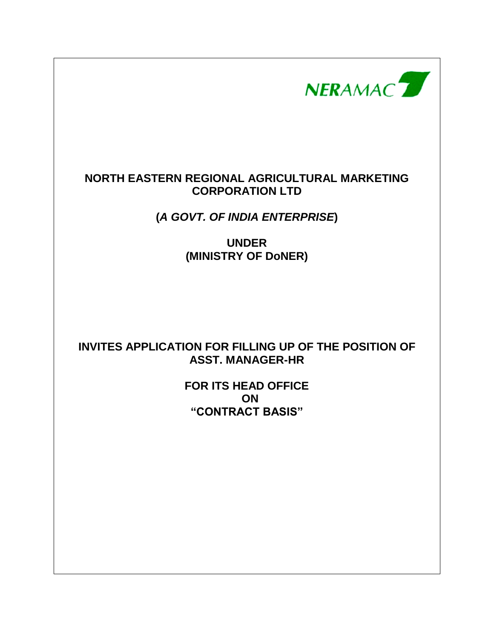NERAMAC<sup>7</sup>

## **NORTH EASTERN REGIONAL AGRICULTURAL MARKETING CORPORATION LTD**

**(***A GOVT. OF INDIA ENTERPRISE***)**

**UNDER (MINISTRY OF DoNER)**

## **INVITES APPLICATION FOR FILLING UP OF THE POSITION OF ASST. MANAGER-HR**

**FOR ITS HEAD OFFICE ON "CONTRACT BASIS"**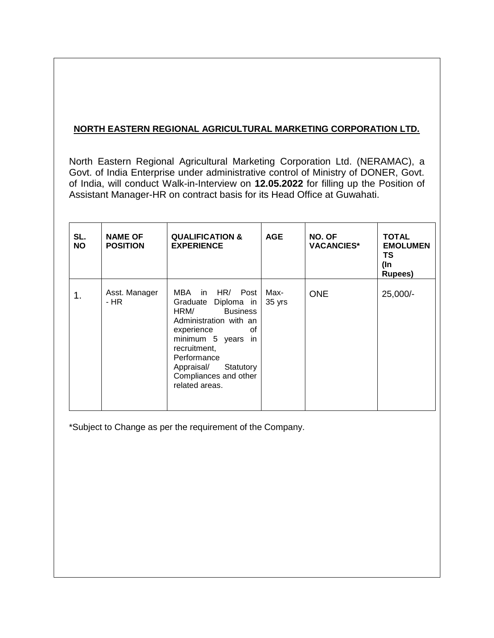## **NORTH EASTERN REGIONAL AGRICULTURAL MARKETING CORPORATION LTD.**

North Eastern Regional Agricultural Marketing Corporation Ltd. (NERAMAC), a Govt. of India Enterprise under administrative control of Ministry of DONER, Govt. of India, will conduct Walk-in-Interview on **12.05.2022** for filling up the Position of Assistant Manager-HR on contract basis for its Head Office at Guwahati.

| SL.<br><b>NO</b> | <b>NAME OF</b><br><b>POSITION</b> | <b>QUALIFICATION &amp;</b><br><b>EXPERIENCE</b>                                                                                                                                                                                                | <b>AGE</b> | NO. OF<br><b>VACANCIES*</b> | <b>TOTAL</b><br><b>EMOLUMEN</b><br>ΤS<br>(In<br><b>Rupees</b> ) |
|------------------|-----------------------------------|------------------------------------------------------------------------------------------------------------------------------------------------------------------------------------------------------------------------------------------------|------------|-----------------------------|-----------------------------------------------------------------|
| 1.               | Asst. Manager<br>- HR             | MBA in HR/ Post   Max-<br>Graduate Diploma in<br><b>Business</b><br>HRM/<br>Administration with an<br>experience<br>οf<br>minimum 5 years in<br>recruitment,<br>Performance<br>Appraisal/ Statutory<br>Compliances and other<br>related areas. | 35 yrs     | <b>ONE</b>                  | 25,000/-                                                        |

\*Subject to Change as per the requirement of the Company.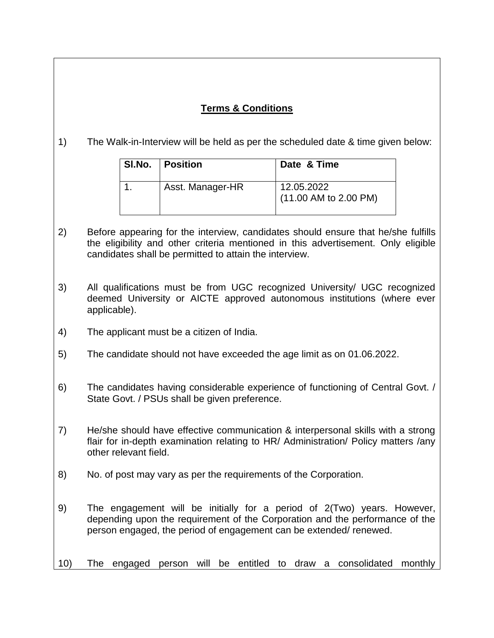## **Terms & Conditions**

1) The Walk-in-Interview will be held as per the scheduled date & time given below:

| SI.No.   Position | Date & Time                           |
|-------------------|---------------------------------------|
| Asst. Manager-HR  | 12.05.2022<br>$(11.00$ AM to 2.00 PM) |

- 2) Before appearing for the interview, candidates should ensure that he/she fulfills the eligibility and other criteria mentioned in this advertisement. Only eligible candidates shall be permitted to attain the interview.
- 3) All qualifications must be from UGC recognized University/ UGC recognized deemed University or AICTE approved autonomous institutions (where ever applicable).
- 4) The applicant must be a citizen of India.
- 5) The candidate should not have exceeded the age limit as on 01.06.2022.
- 6) The candidates having considerable experience of functioning of Central Govt. / State Govt. / PSUs shall be given preference.
- 7) He/she should have effective communication & interpersonal skills with a strong flair for in-depth examination relating to HR/ Administration/ Policy matters /any other relevant field.
- 8) No. of post may vary as per the requirements of the Corporation.
- 9) The engagement will be initially for a period of 2(Two) years. However, depending upon the requirement of the Corporation and the performance of the person engaged, the period of engagement can be extended/ renewed.
- 10) The engaged person will be entitled to draw a consolidated monthly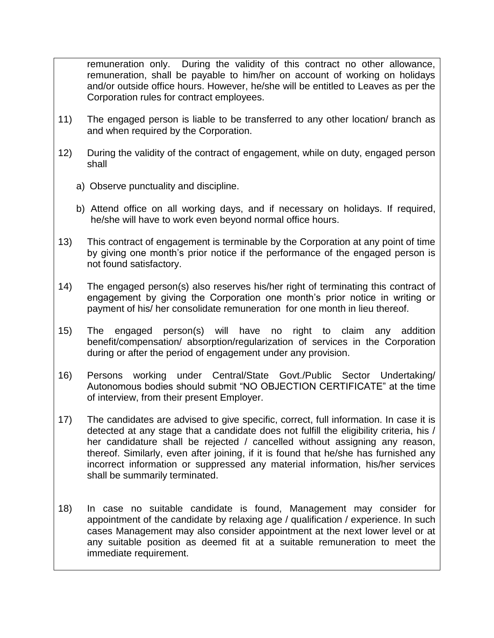remuneration only. During the validity of this contract no other allowance, remuneration, shall be payable to him/her on account of working on holidays and/or outside office hours. However, he/she will be entitled to Leaves as per the Corporation rules for contract employees.

- 11) The engaged person is liable to be transferred to any other location/ branch as and when required by the Corporation.
- 12) During the validity of the contract of engagement, while on duty, engaged person shall
	- a) Observe punctuality and discipline.
	- b) Attend office on all working days, and if necessary on holidays. If required, he/she will have to work even beyond normal office hours.
- 13) This contract of engagement is terminable by the Corporation at any point of time by giving one month's prior notice if the performance of the engaged person is not found satisfactory.
- 14) The engaged person(s) also reserves his/her right of terminating this contract of engagement by giving the Corporation one month's prior notice in writing or payment of his/ her consolidate remuneration for one month in lieu thereof.
- 15) The engaged person(s) will have no right to claim any addition benefit/compensation/ absorption/regularization of services in the Corporation during or after the period of engagement under any provision.
- 16) Persons working under Central/State Govt./Public Sector Undertaking/ Autonomous bodies should submit "NO OBJECTION CERTIFICATE" at the time of interview, from their present Employer.
- 17) The candidates are advised to give specific, correct, full information. In case it is detected at any stage that a candidate does not fulfill the eligibility criteria, his / her candidature shall be rejected / cancelled without assigning any reason, thereof. Similarly, even after joining, if it is found that he/she has furnished any incorrect information or suppressed any material information, his/her services shall be summarily terminated.
- 18) In case no suitable candidate is found, Management may consider for appointment of the candidate by relaxing age / qualification / experience. In such cases Management may also consider appointment at the next lower level or at any suitable position as deemed fit at a suitable remuneration to meet the immediate requirement.